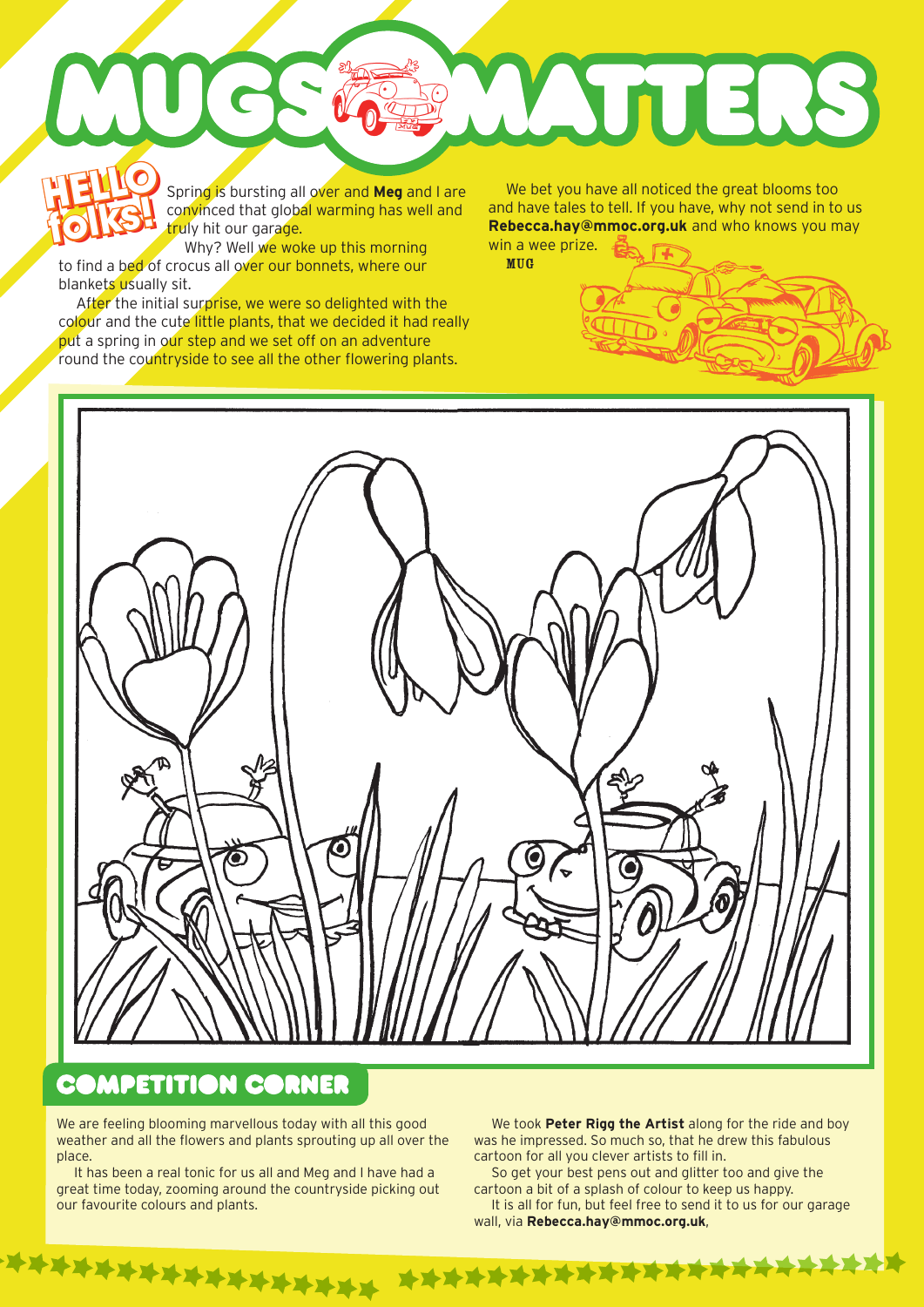Spring is bursting all over and **Meg** and I are convinced that global warming has well and truly hit our garage. **HELLO** s **HELLO** 

Why? Well we woke up this morning to find a bed of crocus all over our bonnets, where our blankets usually sit. **folks!**

After the initial surprise, we were so delighted with the colour and the cute little plants, that we decided it had really put a spring in our step and we set off on an adventure round the countryside to see all the other flowering plants.

**folks are the spring is bursting all over and Meg** and I are we bet you have all noticed the great blooms too convinced that global warming has well and and have tales to tell. If you have, why not send in to truly hit ou and have tales to tell. If you have, why not send in to us **Rebecca.hay@mmoc.org.uk** and who knows you may win a wee prize.

**ATTERS** 

MUG



### **COMPETITION CORNER**

\*\*\*\*\*\*\*\*\*\*\*\*\*\*\*\*\*

We are feeling blooming marvellous today with all this good weather and all the flowers and plants sprouting up all over the place.

It has been a real tonic for us all and Meg and I have had a great time today, zooming around the countryside picking out our favourite colours and plants.

We took **Peter Rigg the Artist** along for the ride and boy was he impressed. So much so, that he drew this fabulous cartoon for all you clever artists to fill in.

So get your best pens out and glitter too and give the cartoon a bit of a splash of colour to keep us happy.

\*\*\*\*\*\*\*\*\*\*\*\*\*\*\*\*\*\*\*\*\*\*\*

It is all for fun, but feel free to send it to us for our garage wall, via **Rebecca.hay@mmoc.org.uk**,